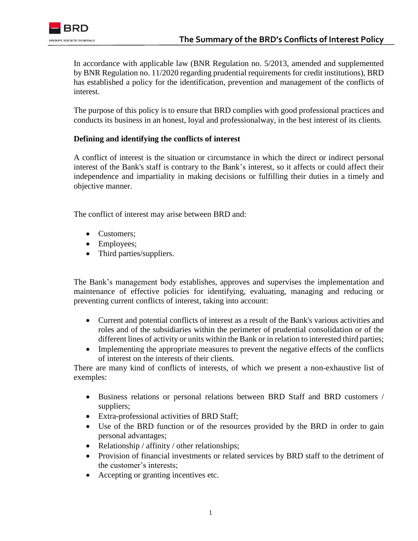In accordance with applicable law (BNR Regulation no. 5/2013, amended and supplemented by BNR Regulation no. 11/2020 regarding prudential requirements for credit institutions), BRD has established a policy for the identification, prevention and management of the conflicts of interest.

The purpose of this policy is to ensure that BRD complies with good professional practices and conducts its business in an honest, loyal and professionalway, in the best interest of its clients.

## **Defining and identifying the conflicts of interest**

A conflict of interest is the situation or circumstance in which the direct or indirect personal interest of the Bank's staff is contrary to the Bank's interest, so it affects or could affect their independence and impartiality in making decisions or fulfilling their duties in a timely and objective manner.

The conflict of interest may arise between BRD and:

- Customers;
- Employees;
- Third parties/suppliers.

The Bank's management body establishes, approves and supervises the implementation and maintenance of effective policies for identifying, evaluating, managing and reducing or preventing current conflicts of interest, taking into account:

- Current and potential conflicts of interest as a result of the Bank's various activities and roles and of the subsidiaries within the perimeter of prudential consolidation or of the different lines of activity or units within the Bank or in relation to interested third parties;
- Implementing the appropriate measures to prevent the negative effects of the conflicts of interest on the interests of their clients.

There are many kind of conflicts of interests, of which we present a non-exhaustive list of exemples:

- Business relations or personal relations between BRD Staff and BRD customers / suppliers;
- Extra-professional activities of BRD Staff;
- [Use of the BRD function or of the resources provided by the BRD in order to gain](https://www.reverso.net/traducere-text#sl=rum&tl=eng&text=Folosirea%20functiei%20detinute%20in%20cadrul%20BRD%20sau%20a%20resurselor%20puse%20la%20dispozitie%20de%20BRD%20in%20scopul.%20obtinerii%20unor%20avantaje%20personale)  [personal advantages;](https://www.reverso.net/traducere-text#sl=rum&tl=eng&text=Folosirea%20functiei%20detinute%20in%20cadrul%20BRD%20sau%20a%20resurselor%20puse%20la%20dispozitie%20de%20BRD%20in%20scopul.%20obtinerii%20unor%20avantaje%20personale)
- Relationship / affinity / other relationships;
- Provision of financial investments or related services by BRD staff to the detriment of the customer's interests;
- Accepting or granting incentives etc.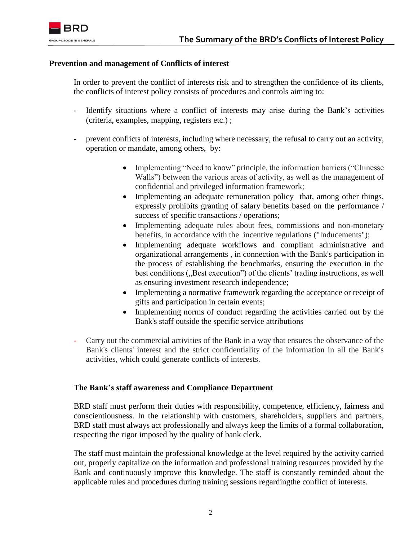

## **Prevention and management of Conflicts of interest**

In order to prevent the conflict of interests risk and to strengthen the confidence of its clients, the conflicts of interest policy consists of procedures and controls aiming to:

- Identify situations where a conflict of interests may arise during the Bank's activities (criteria, examples, mapping, registers etc.) ;
- prevent conflicts of interests, including where necessary, the refusal to carry out an activity, operation or mandate, among others, by:
	- Implementing "Need to know" principle, the information barriers ("Chinesse Walls") between the various areas of activity, as well as the management of confidential and privileged information framework;
	- Implementing an adequate remuneration policy that, among other things, expressly prohibits granting of salary benefits based on the performance / success of specific transactions / operations;
	- Implementing adequate rules about fees, commissions and non-monetary benefits, in accordance with the incentive regulations ("Inducements");
	- Implementing adequate workflows and compliant administrative and organizational arrangements , in connection with the Bank's participation in the process of establishing the benchmarks, ensuring the execution in the best conditions ("Best execution") of the clients' trading instructions, as well as ensuring investment research independence;
	- Implementing a normative framework regarding the acceptance or receipt of gifts and participation in certain events;
	- Implementing norms of conduct regarding the activities carried out by the Bank's staff outside the specific service attributions
- Carry out the commercial activities of the Bank in a way that ensures the observance of the Bank's clients' interest and the strict confidentiality of the information in all the Bank's activities, which could generate conflicts of interests.

## **The Bank's staff awareness and Compliance Department**

BRD staff must perform their duties with responsibility, competence, efficiency, fairness and conscientiousness. In the relationship with customers, shareholders, suppliers and partners, BRD staff must always act professionally and always keep the limits of a formal collaboration, respecting the rigor imposed by the quality of bank clerk.

The staff must maintain the professional knowledge at the level required by the activity carried out, properly capitalize on the information and professional training resources provided by the Bank and continuously improve this knowledge. The staff is constantly reminded about the applicable rules and procedures during training sessions regardingthe conflict of interests.